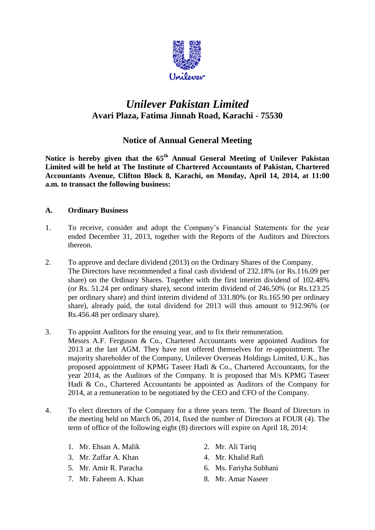

# *Unilever Pakistan Limited* **Avari Plaza, Fatima Jinnah Road, Karachi - 75530**

# **Notice of Annual General Meeting**

**Notice is hereby given that the 65 th Annual General Meeting of Unilever Pakistan Limited will be held at The Institute of Chartered Accountants of Pakistan, Chartered Accountants Avenue, Clifton Block 8, Karachi, on Monday, April 14, 2014, at 11:00 a.m. to transact the following business:**

## **A. Ordinary Business**

- 1. To receive, consider and adopt the Company's Financial Statements for the year ended December 31, 2013, together with the Reports of the Auditors and Directors thereon.
- 2. To approve and declare dividend (2013) on the Ordinary Shares of the Company. The Directors have recommended a final cash dividend of 232.18% (or Rs.116.09 per share) on the Ordinary Shares. Together with the first interim dividend of 102.48% (or Rs. 51.24 per ordinary share), second interim dividend of 246.50% (or Rs.123.25 per ordinary share) and third interim dividend of 331.80% (or Rs.165.90 per ordinary share), already paid, the total dividend for 2013 will thus amount to 912.96% (or Rs.456.48 per ordinary share).
- 3. To appoint Auditors for the ensuing year, and to fix their remuneration.
	- Messrs A.F. Ferguson & Co., Chartered Accountants were appointed Auditors for 2013 at the last AGM. They have not offered themselves for re-appointment. The majority shareholder of the Company, Unilever Overseas Holdings Limited, U.K., has proposed appointment of KPMG Taseer Hadi & Co., Chartered Accountants, for the year 2014, as the Auditors of the Company. It is proposed that M/s KPMG Taseer Hadi & Co., Chartered Accountants be appointed as Auditors of the Company for 2014, at a remuneration to be negotiated by the CEO and CFO of the Company.
- 4. To elect directors of the Company for a three years term. The Board of Directors in the meeting held on March 06, 2014, fixed the number of Directors at FOUR (4). The term of office of the following eight (8) directors will expire on April 18, 2014:
	- 1. Mr. Ehsan A. Malik 2. Mr. Ali Tariq
	- 3. Mr. Zaffar A. Khan 4. Mr. Khalid Rafi
	-
	- 7. Mr. Faheem A. Khan 8. Mr. Amar Naseer
- 
- - 5. Mr. Amir R. Paracha 6. Ms. Fariyha Subhani
		-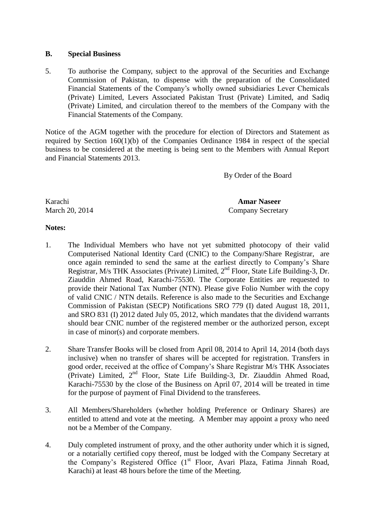#### **B. Special Business**

5. To authorise the Company, subject to the approval of the Securities and Exchange Commission of Pakistan, to dispense with the preparation of the Consolidated Financial Statements of the Company's wholly owned subsidiaries Lever Chemicals (Private) Limited, Levers Associated Pakistan Trust (Private) Limited, and Sadiq (Private) Limited, and circulation thereof to the members of the Company with the Financial Statements of the Company.

Notice of the AGM together with the procedure for election of Directors and Statement as required by Section 160(1)(b) of the Companies Ordinance 1984 in respect of the special business to be considered at the meeting is being sent to the Members with Annual Report and Financial Statements 2013.

By Order of the Board

Karachi **Amar Naseer** March 20, 2014 Company Secretary

#### **Notes:**

- 1. The Individual Members who have not yet submitted photocopy of their valid Computerised National Identity Card (CNIC) to the Company/Share Registrar, are once again reminded to send the same at the earliest directly to Company's Share Registrar, M/s THK Associates (Private) Limited, 2<sup>nd</sup> Floor, State Life Building-3, Dr. Ziauddin Ahmed Road, Karachi-75530. The Corporate Entities are requested to provide their National Tax Number (NTN). Please give Folio Number with the copy of valid CNIC / NTN details. Reference is also made to the Securities and Exchange Commission of Pakistan (SECP) Notifications SRO 779 (I) dated August 18, 2011, and SRO 831 (I) 2012 dated July 05, 2012, which mandates that the dividend warrants should bear CNIC number of the registered member or the authorized person, except in case of minor(s) and corporate members.
- 2. Share Transfer Books will be closed from April 08, 2014 to April 14, 2014 (both days inclusive) when no transfer of shares will be accepted for registration. Transfers in good order, received at the office of Company's Share Registrar M/s THK Associates (Private) Limited, 2<sup>nd</sup> Floor, State Life Building-3, Dr. Ziauddin Ahmed Road, Karachi-75530 by the close of the Business on April 07, 2014 will be treated in time for the purpose of payment of Final Dividend to the transferees.
- 3. All Members/Shareholders (whether holding Preference or Ordinary Shares) are entitled to attend and vote at the meeting. A Member may appoint a proxy who need not be a Member of the Company.
- 4. Duly completed instrument of proxy, and the other authority under which it is signed, or a notarially certified copy thereof, must be lodged with the Company Secretary at the Company's Registered Office (1<sup>st</sup> Floor, Avari Plaza, Fatima Jinnah Road, Karachi) at least 48 hours before the time of the Meeting.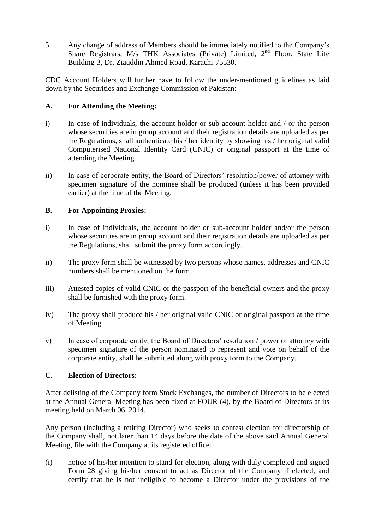5. Any change of address of Members should be immediately notified to the Company's Share Registrars, M/s THK Associates (Private) Limited, 2<sup>nd</sup> Floor, State Life Building-3, Dr. Ziauddin Ahmed Road, Karachi-75530.

CDC Account Holders will further have to follow the under-mentioned guidelines as laid down by the Securities and Exchange Commission of Pakistan:

### **A. For Attending the Meeting:**

- i) In case of individuals, the account holder or sub-account holder and / or the person whose securities are in group account and their registration details are uploaded as per the Regulations, shall authenticate his / her identity by showing his / her original valid Computerised National Identity Card (CNIC) or original passport at the time of attending the Meeting.
- ii) In case of corporate entity, the Board of Directors' resolution/power of attorney with specimen signature of the nominee shall be produced (unless it has been provided earlier) at the time of the Meeting.

## **B. For Appointing Proxies:**

- i) In case of individuals, the account holder or sub-account holder and/or the person whose securities are in group account and their registration details are uploaded as per the Regulations, shall submit the proxy form accordingly.
- ii) The proxy form shall be witnessed by two persons whose names, addresses and CNIC numbers shall be mentioned on the form.
- iii) Attested copies of valid CNIC or the passport of the beneficial owners and the proxy shall be furnished with the proxy form.
- iv) The proxy shall produce his / her original valid CNIC or original passport at the time of Meeting.
- v) In case of corporate entity, the Board of Directors' resolution / power of attorney with specimen signature of the person nominated to represent and vote on behalf of the corporate entity, shall be submitted along with proxy form to the Company.

#### **C. Election of Directors:**

After delisting of the Company form Stock Exchanges, the number of Directors to be elected at the Annual General Meeting has been fixed at FOUR (4), by the Board of Directors at its meeting held on March 06, 2014.

Any person (including a retiring Director) who seeks to contest election for directorship of the Company shall, not later than 14 days before the date of the above said Annual General Meeting, file with the Company at its registered office:

(i) notice of his/her intention to stand for election, along with duly completed and signed Form 28 giving his/her consent to act as Director of the Company if elected, and certify that he is not ineligible to become a Director under the provisions of the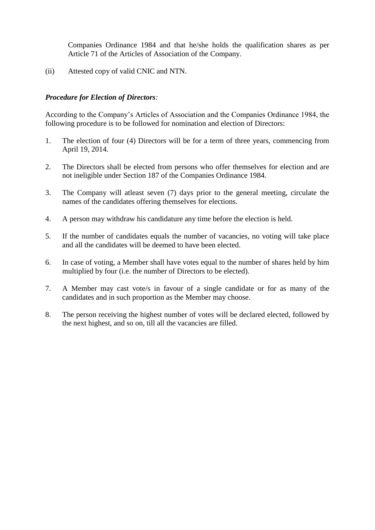Companies Ordinance 1984 and that he/she holds the qualification shares as per Article 71 of the Articles of Association of the Company.

(ii) Attested copy of valid CNIC and NTN.

#### *Procedure for Election of Directors:*

According to the Company's Articles of Association and the Companies Ordinance 1984, the following procedure is to be followed for nomination and election of Directors:

- 1. The election of four (4) Directors will be for a term of three years, commencing from April 19, 2014.
- 2. The Directors shall be elected from persons who offer themselves for election and are not ineligible under Section 187 of the Companies Ordinance 1984.
- 3. The Company will atleast seven (7) days prior to the general meeting, circulate the names of the candidates offering themselves for elections.
- 4. A person may withdraw his candidature any time before the election is held.
- 5. If the number of candidates equals the number of vacancies, no voting will take place and all the candidates will be deemed to have been elected.
- 6. In case of voting, a Member shall have votes equal to the number of shares held by him multiplied by four (i.e. the number of Directors to be elected).
- 7. A Member may cast vote/s in favour of a single candidate or for as many of the candidates and in such proportion as the Member may choose.
- 8. The person receiving the highest number of votes will be declared elected, followed by the next highest, and so on, till all the vacancies are filled.